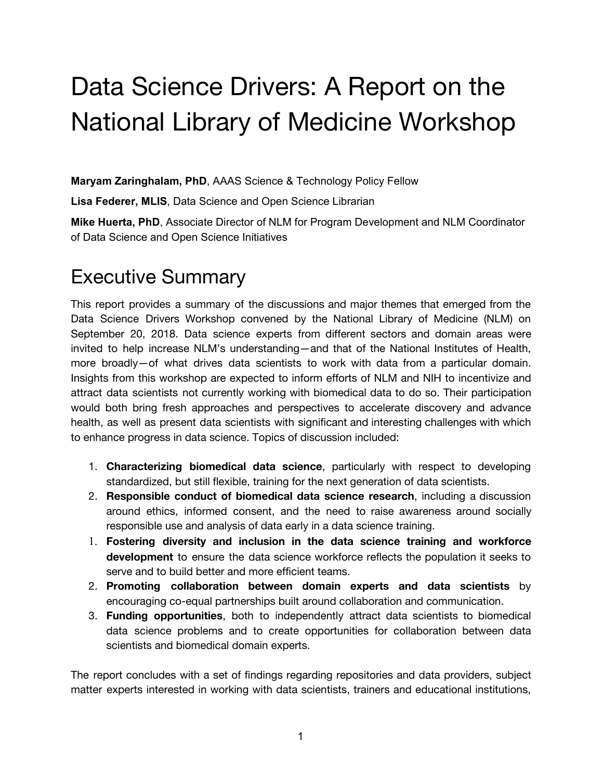# Data Science Drivers: A Report on the National Library of Medicine Workshop

**Maryam Zaringhalam, PhD**, AAAS Science & Technology Policy Fellow

**Lisa Federer, MLIS**, Data Science and Open Science Librarian

**Mike Huerta, PhD**, Associate Director of NLM for Program Development and NLM Coordinator of Data Science and Open Science Initiatives

## Executive Summary

This report provides a summary of the discussions and major themes that emerged from the Data Science Drivers Workshop convened by the National Library of Medicine (NLM) on September 20, 2018. Data science experts from different sectors and domain areas were invited to help increase NLM's understanding—and that of the National Institutes of Health, more broadly—of what drives data scientists to work with data from a particular domain. Insights from this workshop are expected to inform efforts of NLM and NIH to incentivize and attract data scientists not currently working with biomedical data to do so. Their participation would both bring fresh approaches and perspectives to accelerate discovery and advance health, as well as present data scientists with significant and interesting challenges with which to enhance progress in data science. Topics of discussion included:

- 1. **Characterizing biomedical data science**, particularly with respect to developing standardized, but still flexible, training for the next generation of data scientists.
- 2. **Responsible conduct of biomedical data science research**, including a discussion around ethics, informed consent, and the need to raise awareness around socially responsible use and analysis of data early in a data science training.
- 1. **Fostering diversity and inclusion in the data science training and workforce development** to ensure the data science workforce reflects the population it seeks to serve and to build better and more efficient teams.
- 2. **Promoting collaboration between domain experts and data scientists** by encouraging co-equal partnerships built around collaboration and communication.
- 3. **Funding opportunities**, both to independently attract data scientists to biomedical data science problems and to create opportunities for collaboration between data scientists and biomedical domain experts.

The report concludes with a set of findings regarding repositories and data providers, subject matter experts interested in working with data scientists, trainers and educational institutions,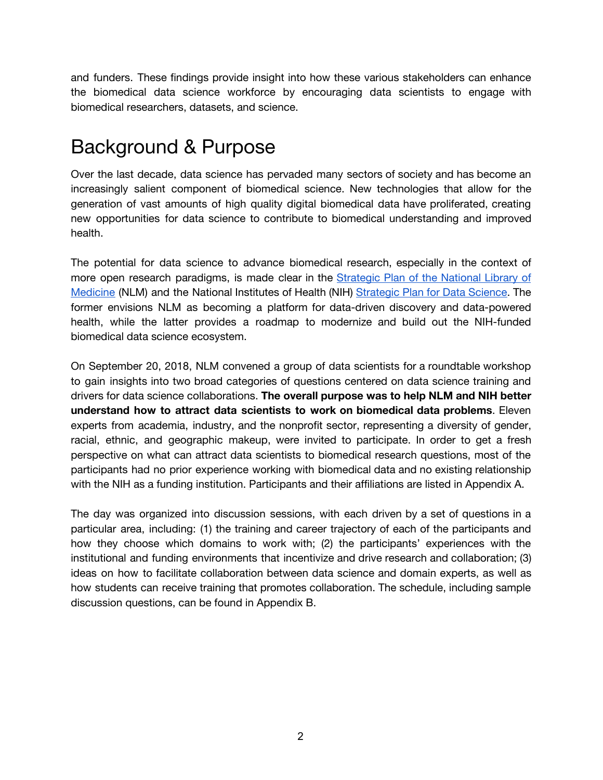and funders. These findings provide insight into how these various stakeholders can enhance the biomedical data science workforce by encouraging data scientists to engage with biomedical researchers, datasets, and science.

## Background & Purpose

Over the last decade, data science has pervaded many sectors of society and has become an increasingly salient component of biomedical science. New technologies that allow for the generation of vast amounts of high quality digital biomedical data have proliferated, creating new opportunities for data science to contribute to biomedical understanding and improved health.

The potential for data science to advance biomedical research, especially in the context of more open research paradigms, is made clear in the [Strategic](https://www.nlm.nih.gov/pubs/plan/strategic_planning.html) Plan of the National Library of Medicine (NLM) and the National Institutes of Health (NIH) [Strategic](https://grants.nih.gov/grants/rfi/NIH-Strategic-Plan-for-Data-Science.pdf) Plan for Data Science. The former envisions NLM as becoming a platform for data-driven discovery and data-powered health, while the latter provides a roadmap to modernize and build out the NIH-funded biomedical data science ecosystem.

On September 20, 2018, NLM convened a group of data scientists for a roundtable workshop to gain insights into two broad categories of questions centered on data science training and drivers for data science collaborations. **The overall purpose was to help NLM and NIH better understand how to attract data scientists to work on biomedical data problems**. Eleven experts from academia, industry, and the nonprofit sector, representing a diversity of gender, racial, ethnic, and geographic makeup, were invited to participate. In order to get a fresh perspective on what can attract data scientists to biomedical research questions, most of the participants had no prior experience working with biomedical data and no existing relationship with the NIH as a funding institution. Participants and their affiliations are listed in Appendix A.

The day was organized into discussion sessions, with each driven by a set of questions in a particular area, including: (1) the training and career trajectory of each of the participants and how they choose which domains to work with; (2) the participants' experiences with the institutional and funding environments that incentivize and drive research and collaboration; (3) ideas on how to facilitate collaboration between data science and domain experts, as well as how students can receive training that promotes collaboration. The schedule, including sample discussion questions, can be found in Appendix B.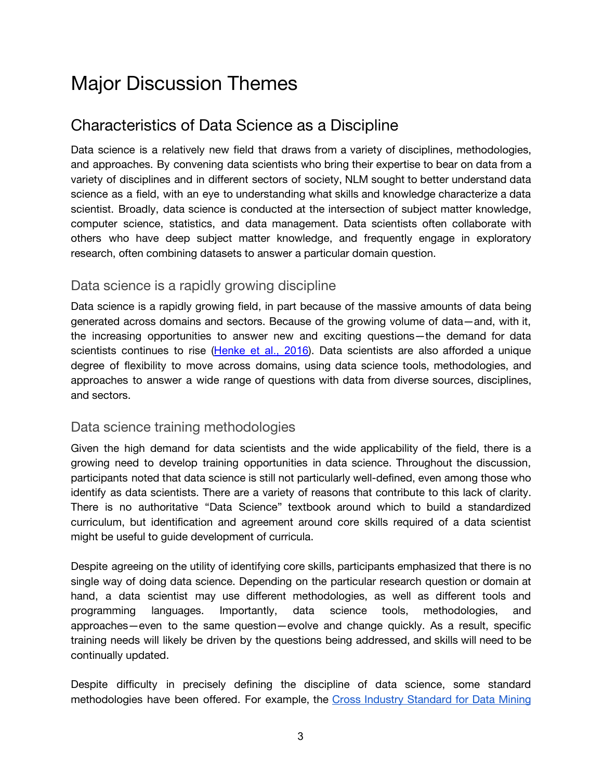# Major Discussion Themes

## Characteristics of Data Science as a Discipline

Data science is a relatively new field that draws from a variety of disciplines, methodologies, and approaches. By convening data scientists who bring their expertise to bear on data from a variety of disciplines and in different sectors of society, NLM sought to better understand data science as a field, with an eye to understanding what skills and knowledge characterize a data scientist. Broadly, data science is conducted at the intersection of subject matter knowledge, computer science, statistics, and data management. Data scientists often collaborate with others who have deep subject matter knowledge, and frequently engage in exploratory research, often combining datasets to answer a particular domain question.

### Data science is a rapidly growing discipline

Data science is a rapidly growing field, in part because of the massive amounts of data being generated across domains and sectors. Because of the growing volume of data—and, with it, the increasing opportunities to answer new and exciting questions—the demand for data scientists continues to rise ([Henke](https://www.mckinsey.com/~/media/mckinsey/business%20functions/mckinsey%20analytics/our%20insights/the%20age%20of%20analytics%20competing%20in%20a%20data%20driven%20world/mgi-the-age-of-analytics-full-report.ashx) et al., 2016). Data scientists are also afforded a unique degree of flexibility to move across domains, using data science tools, methodologies, and approaches to answer a wide range of questions with data from diverse sources, disciplines, and sectors.

### Data science training methodologies

Given the high demand for data scientists and the wide applicability of the field, there is a growing need to develop training opportunities in data science. Throughout the discussion, participants noted that data science is still not particularly well-defined, even among those who identify as data scientists. There are a variety of reasons that contribute to this lack of clarity. There is no authoritative "Data Science" textbook around which to build a standardized curriculum, but identification and agreement around core skills required of a data scientist might be useful to guide development of curricula.

Despite agreeing on the utility of identifying core skills, participants emphasized that there is no single way of doing data science. Depending on the particular research question or domain at hand, a data scientist may use different methodologies, as well as different tools and programming languages. Importantly, data science tools, methodologies, and approaches—even to the same question—evolve and change quickly. As a result, specific training needs will likely be driven by the questions being addressed, and skills will need to be continually updated.

Despite difficulty in precisely defining the discipline of data science, some standard methodologies have been offered. For example, the Cross Industry [Standard](https://www.sv-europe.com/crisp-dm-methodology/) for Data Mining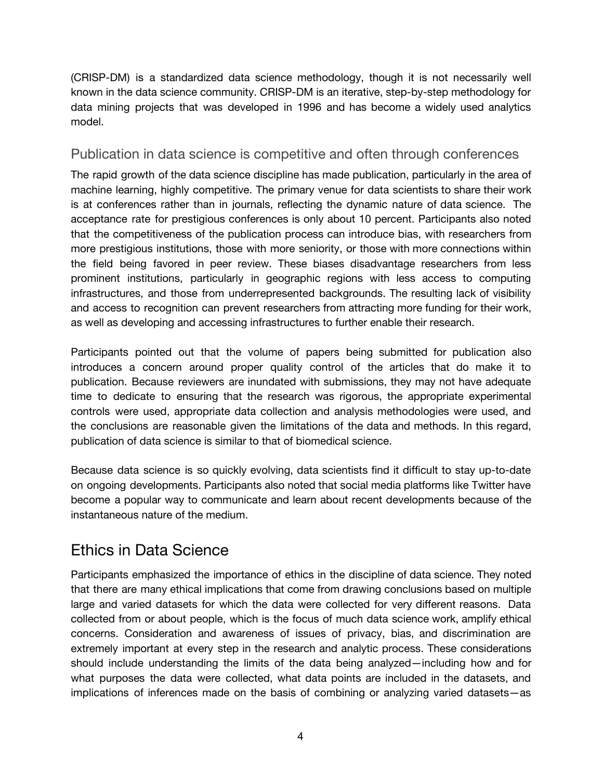(CRISP-DM) is a standardized data science methodology, though it is not necessarily well known in the data science community. CRISP-DM is an iterative, step-by-step methodology for data mining projects that was developed in 1996 and has become a widely used analytics model.

### Publication in data science is competitive and often through conferences

The rapid growth of the data science discipline has made publication, particularly in the area of machine learning, highly competitive. The primary venue for data scientists to share their work is at conferences rather than in journals, reflecting the dynamic nature of data science. The acceptance rate for prestigious conferences is only about 10 percent. Participants also noted that the competitiveness of the publication process can introduce bias, with researchers from more prestigious institutions, those with more seniority, or those with more connections within the field being favored in peer review. These biases disadvantage researchers from less prominent institutions, particularly in geographic regions with less access to computing infrastructures, and those from underrepresented backgrounds. The resulting lack of visibility and access to recognition can prevent researchers from attracting more funding for their work, as well as developing and accessing infrastructures to further enable their research.

Participants pointed out that the volume of papers being submitted for publication also introduces a concern around proper quality control of the articles that do make it to publication. Because reviewers are inundated with submissions, they may not have adequate time to dedicate to ensuring that the research was rigorous, the appropriate experimental controls were used, appropriate data collection and analysis methodologies were used, and the conclusions are reasonable given the limitations of the data and methods. In this regard, publication of data science is similar to that of biomedical science.

Because data science is so quickly evolving, data scientists find it difficult to stay up-to-date on ongoing developments. Participants also noted that social media platforms like Twitter have become a popular way to communicate and learn about recent developments because of the instantaneous nature of the medium.

## Ethics in Data Science

Participants emphasized the importance of ethics in the discipline of data science. They noted that there are many ethical implications that come from drawing conclusions based on multiple large and varied datasets for which the data were collected for very different reasons. Data collected from or about people, which is the focus of much data science work, amplify ethical concerns. Consideration and awareness of issues of privacy, bias, and discrimination are extremely important at every step in the research and analytic process. These considerations should include understanding the limits of the data being analyzed—including how and for what purposes the data were collected, what data points are included in the datasets, and implications of inferences made on the basis of combining or analyzing varied datasets—as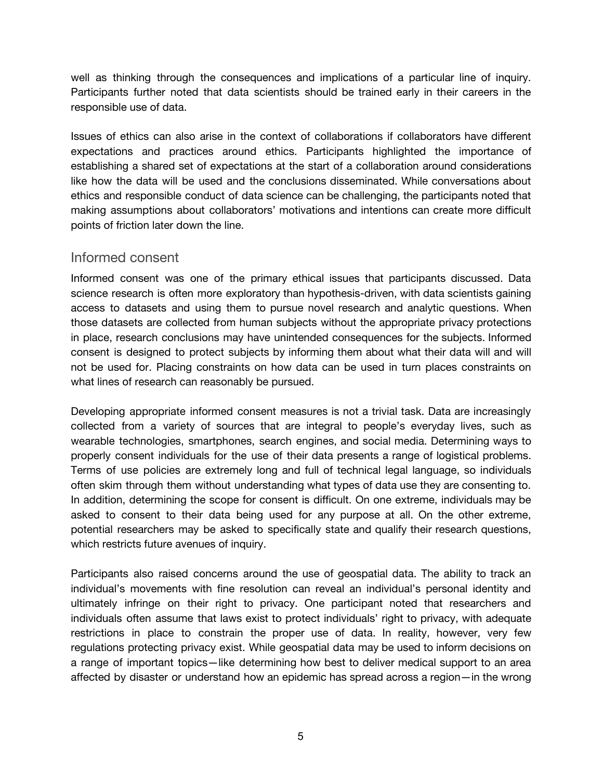well as thinking through the consequences and implications of a particular line of inquiry. Participants further noted that data scientists should be trained early in their careers in the responsible use of data.

Issues of ethics can also arise in the context of collaborations if collaborators have different expectations and practices around ethics. Participants highlighted the importance of establishing a shared set of expectations at the start of a collaboration around considerations like how the data will be used and the conclusions disseminated. While conversations about ethics and responsible conduct of data science can be challenging, the participants noted that making assumptions about collaborators' motivations and intentions can create more difficult points of friction later down the line.

### Informed consent

Informed consent was one of the primary ethical issues that participants discussed. Data science research is often more exploratory than hypothesis-driven, with data scientists gaining access to datasets and using them to pursue novel research and analytic questions. When those datasets are collected from human subjects without the appropriate privacy protections in place, research conclusions may have unintended consequences for the subjects. Informed consent is designed to protect subjects by informing them about what their data will and will not be used for. Placing constraints on how data can be used in turn places constraints on what lines of research can reasonably be pursued.

Developing appropriate informed consent measures is not a trivial task. Data are increasingly collected from a variety of sources that are integral to people's everyday lives, such as wearable technologies, smartphones, search engines, and social media. Determining ways to properly consent individuals for the use of their data presents a range of logistical problems. Terms of use policies are extremely long and full of technical legal language, so individuals often skim through them without understanding what types of data use they are consenting to. In addition, determining the scope for consent is difficult. On one extreme, individuals may be asked to consent to their data being used for any purpose at all. On the other extreme, potential researchers may be asked to specifically state and qualify their research questions, which restricts future avenues of inquiry.

Participants also raised concerns around the use of geospatial data. The ability to track an individual's movements with fine resolution can reveal an individual's personal identity and ultimately infringe on their right to privacy. One participant noted that researchers and individuals often assume that laws exist to protect individuals' right to privacy, with adequate restrictions in place to constrain the proper use of data. In reality, however, very few regulations protecting privacy exist. While geospatial data may be used to inform decisions on a range of important topics—like determining how best to deliver medical support to an area affected by disaster or understand how an epidemic has spread across a region—in the wrong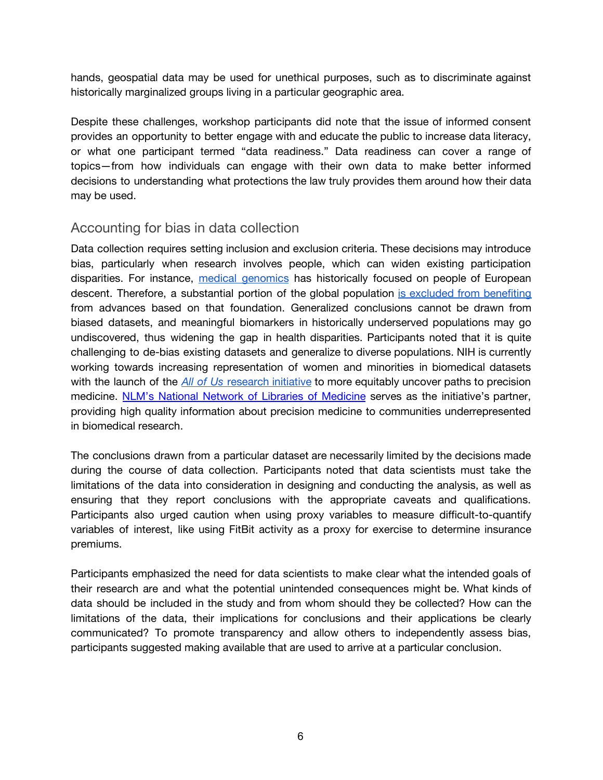hands, geospatial data may be used for unethical purposes, such as to discriminate against historically marginalized groups living in a particular geographic area.

Despite these challenges, workshop participants did note that the issue of informed consent provides an opportunity to better engage with and educate the public to increase data literacy, or what one participant termed "data readiness." Data readiness can cover a range of topics—from how individuals can engage with their own data to make better informed decisions to understanding what protections the law truly provides them around how their data may be used.

### Accounting for bias in data collection

Data collection requires setting inclusion and exclusion criteria. These decisions may introduce bias, particularly when research involves people, which can widen existing participation disparities. For instance, medical [genomics](https://www.nature.com/articles/475163a) has historically focused on people of European descent. Therefore, a substantial portion of the global population is excluded from [benefiting](https://www.frontiersin.org/articles/10.3389/fonc.2018.00346/full) from advances based on that foundation. Generalized conclusions cannot be drawn from biased datasets, and meaningful biomarkers in historically underserved populations may go undiscovered, thus widening the gap in health disparities. Participants noted that it is quite challenging to de-bias existing datasets and generalize to diverse populations. NIH is currently working towards increasing representation of women and minorities in biomedical datasets with the launch of the *All of [Us](https://allofus.nih.gov/)* [research](https://allofus.nih.gov/) initiative to more equitably uncover paths to precision medicine. NLM's National Network of Libraries of [Medicine](https://nnlm.gov/all-of-us) serves as the initiative's partner, providing high quality information about precision medicine to communities underrepresented in biomedical research.

The conclusions drawn from a particular dataset are necessarily limited by the decisions made during the course of data collection. Participants noted that data scientists must take the limitations of the data into consideration in designing and conducting the analysis, as well as ensuring that they report conclusions with the appropriate caveats and qualifications. Participants also urged caution when using proxy variables to measure difficult-to-quantify variables of interest, like using FitBit activity as a proxy for exercise to determine insurance premiums.

Participants emphasized the need for data scientists to make clear what the intended goals of their research are and what the potential unintended consequences might be. What kinds of data should be included in the study and from whom should they be collected? How can the limitations of the data, their implications for conclusions and their applications be clearly communicated? To promote transparency and allow others to independently assess bias, participants suggested making available that are used to arrive at a particular conclusion.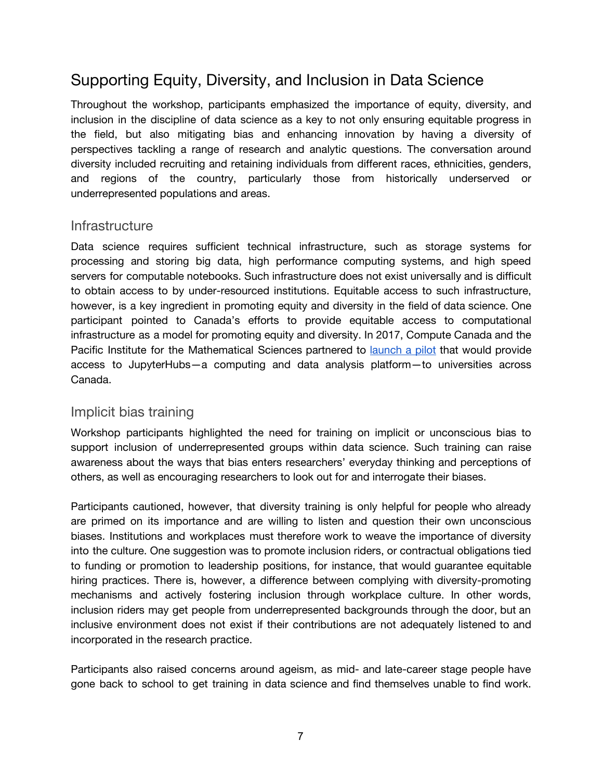## Supporting Equity, Diversity, and Inclusion in Data Science

Throughout the workshop, participants emphasized the importance of equity, diversity, and inclusion in the discipline of data science as a key to not only ensuring equitable progress in the field, but also mitigating bias and enhancing innovation by having a diversity of perspectives tackling a range of research and analytic questions. The conversation around diversity included recruiting and retaining individuals from different races, ethnicities, genders, and regions of the country, particularly those from historically underserved or underrepresented populations and areas.

### **Infrastructure**

Data science requires sufficient technical infrastructure, such as storage systems for processing and storing big data, high performance computing systems, and high speed servers for computable notebooks. Such infrastructure does not exist universally and is difficult to obtain access to by under-resourced institutions. Equitable access to such infrastructure, however, is a key ingredient in promoting equity and diversity in the field of data science. One participant pointed to Canada's efforts to provide equitable access to computational infrastructure as a model for promoting equity and diversity. In 2017, Compute Canada and the Pacific Institute for the Mathematical Sciences partnered to [launch](https://www.computecanada.ca/featured/compute-canada-and-pims-launch-jupyter-service-for-researchers/) a pilot that would provide access to JupyterHubs—a computing and data analysis platform—to universities across Canada.

### Implicit bias training

Workshop participants highlighted the need for training on implicit or unconscious bias to support inclusion of underrepresented groups within data science. Such training can raise awareness about the ways that bias enters researchers' everyday thinking and perceptions of others, as well as encouraging researchers to look out for and interrogate their biases.

Participants cautioned, however, that diversity training is only helpful for people who already are primed on its importance and are willing to listen and question their own unconscious biases. Institutions and workplaces must therefore work to weave the importance of diversity into the culture. One suggestion was to promote inclusion riders, or contractual obligations tied to funding or promotion to leadership positions, for instance, that would guarantee equitable hiring practices. There is, however, a difference between complying with diversity-promoting mechanisms and actively fostering inclusion through workplace culture. In other words, inclusion riders may get people from underrepresented backgrounds through the door, but an inclusive environment does not exist if their contributions are not adequately listened to and incorporated in the research practice.

Participants also raised concerns around ageism, as mid- and late-career stage people have gone back to school to get training in data science and find themselves unable to find work.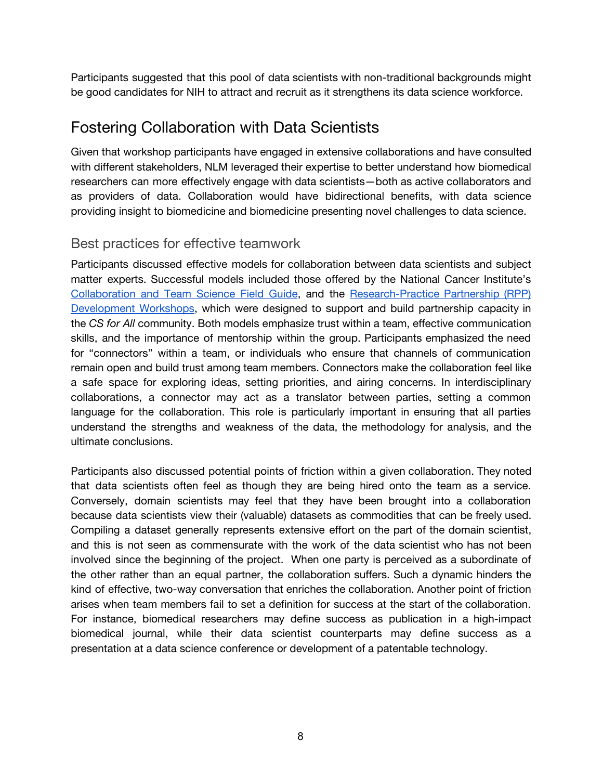Participants suggested that this pool of data scientists with non-traditional backgrounds might be good candidates for NIH to attract and recruit as it strengthens its data science workforce.

## Fostering Collaboration with Data Scientists

Given that workshop participants have engaged in extensive collaborations and have consulted with different stakeholders, NLM leveraged their expertise to better understand how biomedical researchers can more effectively engage with data scientists—both as active collaborators and as providers of data. Collaboration would have bidirectional benefits, with data science providing insight to biomedicine and biomedicine presenting novel challenges to data science.

### Best practices for effective teamwork

Participants discussed effective models for collaboration between data scientists and subject matter experts. Successful models included those offered by the National Cancer Institute's [Collaboration](https://www.cancer.gov/about-nci/organization/crs/research-initiatives/team-science-field-guide/collaboration-team-science-guide.pdf) and Team Science Field Guide, and the [Research-Practice](http://researchandpractice.org/csforall-rpp-workshops/) Partnership (RPP) [Development](http://researchandpractice.org/csforall-rpp-workshops/) Workshops, which were designed to support and build partnership capacity in the *CS for All* community. Both models emphasize trust within a team, effective communication skills, and the importance of mentorship within the group. Participants emphasized the need for "connectors" within a team, or individuals who ensure that channels of communication remain open and build trust among team members. Connectors make the collaboration feel like a safe space for exploring ideas, setting priorities, and airing concerns. In interdisciplinary collaborations, a connector may act as a translator between parties, setting a common language for the collaboration. This role is particularly important in ensuring that all parties understand the strengths and weakness of the data, the methodology for analysis, and the ultimate conclusions.

Participants also discussed potential points of friction within a given collaboration. They noted that data scientists often feel as though they are being hired onto the team as a service. Conversely, domain scientists may feel that they have been brought into a collaboration because data scientists view their (valuable) datasets as commodities that can be freely used. Compiling a dataset generally represents extensive effort on the part of the domain scientist, and this is not seen as commensurate with the work of the data scientist who has not been involved since the beginning of the project. When one party is perceived as a subordinate of the other rather than an equal partner, the collaboration suffers. Such a dynamic hinders the kind of effective, two-way conversation that enriches the collaboration. Another point of friction arises when team members fail to set a definition for success at the start of the collaboration. For instance, biomedical researchers may define success as publication in a high-impact biomedical journal, while their data scientist counterparts may define success as a presentation at a data science conference or development of a patentable technology.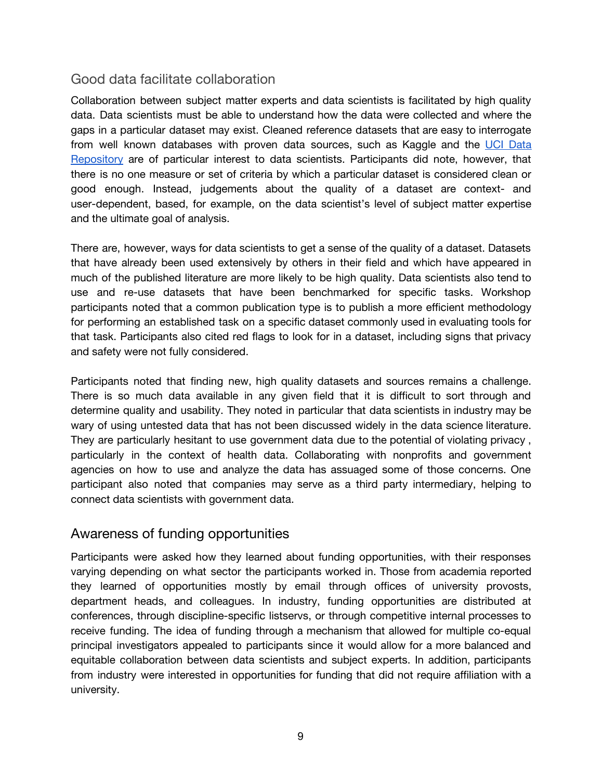### Good data facilitate collaboration

Collaboration between subject matter experts and data scientists is facilitated by high quality data. Data scientists must be able to understand how the data were collected and where the gaps in a particular dataset may exist. Cleaned reference datasets that are easy to interrogate from well known databases with proven data sources, such as Kaggle and the UCI [Data](https://archive.ics.uci.edu/ml/index.php) [Repository](https://archive.ics.uci.edu/ml/index.php) are of particular interest to data scientists. Participants did note, however, that there is no one measure or set of criteria by which a particular dataset is considered clean or good enough. Instead, judgements about the quality of a dataset are context- and user-dependent, based, for example, on the data scientist's level of subject matter expertise and the ultimate goal of analysis.

There are, however, ways for data scientists to get a sense of the quality of a dataset. Datasets that have already been used extensively by others in their field and which have appeared in much of the published literature are more likely to be high quality. Data scientists also tend to use and re-use datasets that have been benchmarked for specific tasks. Workshop participants noted that a common publication type is to publish a more efficient methodology for performing an established task on a specific dataset commonly used in evaluating tools for that task. Participants also cited red flags to look for in a dataset, including signs that privacy and safety were not fully considered.

Participants noted that finding new, high quality datasets and sources remains a challenge. There is so much data available in any given field that it is difficult to sort through and determine quality and usability. They noted in particular that data scientists in industry may be wary of using untested data that has not been discussed widely in the data science literature. They are particularly hesitant to use government data due to the potential of violating privacy , particularly in the context of health data. Collaborating with nonprofits and government agencies on how to use and analyze the data has assuaged some of those concerns. One participant also noted that companies may serve as a third party intermediary, helping to connect data scientists with government data.

### Awareness of funding opportunities

Participants were asked how they learned about funding opportunities, with their responses varying depending on what sector the participants worked in. Those from academia reported they learned of opportunities mostly by email through offices of university provosts, department heads, and colleagues. In industry, funding opportunities are distributed at conferences, through discipline-specific listservs, or through competitive internal processes to receive funding. The idea of funding through a mechanism that allowed for multiple co-equal principal investigators appealed to participants since it would allow for a more balanced and equitable collaboration between data scientists and subject experts. In addition, participants from industry were interested in opportunities for funding that did not require affiliation with a university.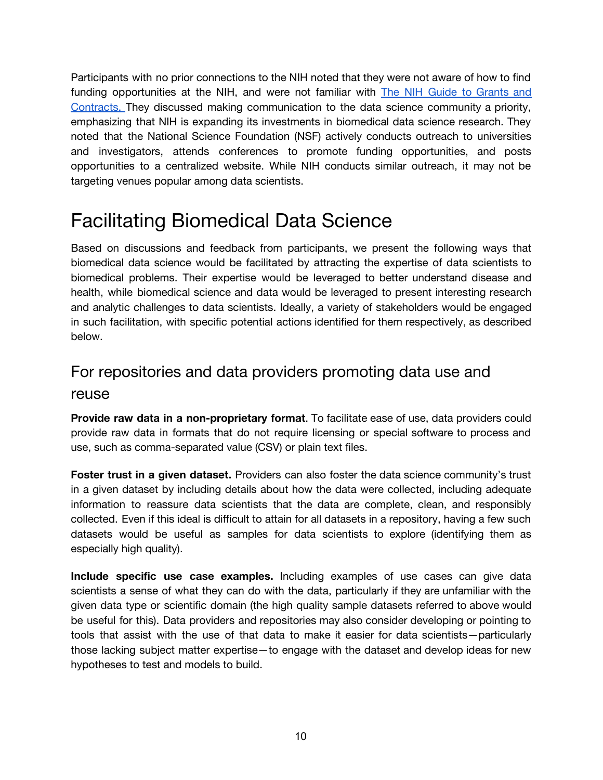Participants with no prior connections to the NIH noted that they were not aware of how to find funding opportunities at the NIH, and were not familiar with **The NIH Guide to [Grants](https://grants.nih.gov/funding/searchguide/index.html) and** [Contracts](https://grants.nih.gov/funding/searchguide/index.html). They discussed making communication to the data science community a priority, emphasizing that NIH is expanding its investments in biomedical data science research. They noted that the National Science Foundation (NSF) actively conducts outreach to universities and investigators, attends conferences to promote funding opportunities, and posts opportunities to a centralized website. While NIH conducts similar outreach, it may not be targeting venues popular among data scientists.

# Facilitating Biomedical Data Science

Based on discussions and feedback from participants, we present the following ways that biomedical data science would be facilitated by attracting the expertise of data scientists to biomedical problems. Their expertise would be leveraged to better understand disease and health, while biomedical science and data would be leveraged to present interesting research and analytic challenges to data scientists. Ideally, a variety of stakeholders would be engaged in such facilitation, with specific potential actions identified for them respectively, as described below.

## For repositories and data providers promoting data use and reuse

**Provide raw data in a non-proprietary format**. To facilitate ease of use, data providers could provide raw data in formats that do not require licensing or special software to process and use, such as comma-separated value (CSV) or plain text files.

**Foster trust in a given dataset.** Providers can also foster the data science community's trust in a given dataset by including details about how the data were collected, including adequate information to reassure data scientists that the data are complete, clean, and responsibly collected. Even if this ideal is difficult to attain for all datasets in a repository, having a few such datasets would be useful as samples for data scientists to explore (identifying them as especially high quality).

**Include specific use case examples.** Including examples of use cases can give data scientists a sense of what they can do with the data, particularly if they are unfamiliar with the given data type or scientific domain (the high quality sample datasets referred to above would be useful for this). Data providers and repositories may also consider developing or pointing to tools that assist with the use of that data to make it easier for data scientists—particularly those lacking subject matter expertise—to engage with the dataset and develop ideas for new hypotheses to test and models to build.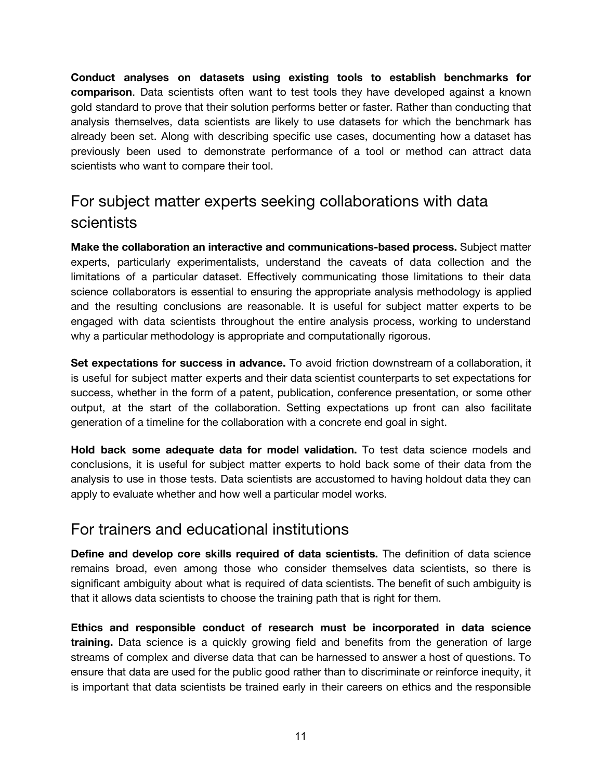**Conduct analyses on datasets using existing tools to establish benchmarks for comparison**. Data scientists often want to test tools they have developed against a known gold standard to prove that their solution performs better or faster. Rather than conducting that analysis themselves, data scientists are likely to use datasets for which the benchmark has already been set. Along with describing specific use cases, documenting how a dataset has previously been used to demonstrate performance of a tool or method can attract data scientists who want to compare their tool.

## For subject matter experts seeking collaborations with data scientists

**Make the collaboration an interactive and communications-based process.** Subject matter experts, particularly experimentalists, understand the caveats of data collection and the limitations of a particular dataset. Effectively communicating those limitations to their data science collaborators is essential to ensuring the appropriate analysis methodology is applied and the resulting conclusions are reasonable. It is useful for subject matter experts to be engaged with data scientists throughout the entire analysis process, working to understand why a particular methodology is appropriate and computationally rigorous.

**Set expectations for success in advance.** To avoid friction downstream of a collaboration, it is useful for subject matter experts and their data scientist counterparts to set expectations for success, whether in the form of a patent, publication, conference presentation, or some other output, at the start of the collaboration. Setting expectations up front can also facilitate generation of a timeline for the collaboration with a concrete end goal in sight.

**Hold back some adequate data for model validation.** To test data science models and conclusions, it is useful for subject matter experts to hold back some of their data from the analysis to use in those tests. Data scientists are accustomed to having holdout data they can apply to evaluate whether and how well a particular model works.

### For trainers and educational institutions

**Define and develop core skills required of data scientists.** The definition of data science remains broad, even among those who consider themselves data scientists, so there is significant ambiguity about what is required of data scientists. The benefit of such ambiguity is that it allows data scientists to choose the training path that is right for them.

**Ethics and responsible conduct of research must be incorporated in data science training.** Data science is a quickly growing field and benefits from the generation of large streams of complex and diverse data that can be harnessed to answer a host of questions. To ensure that data are used for the public good rather than to discriminate or reinforce inequity, it is important that data scientists be trained early in their careers on ethics and the responsible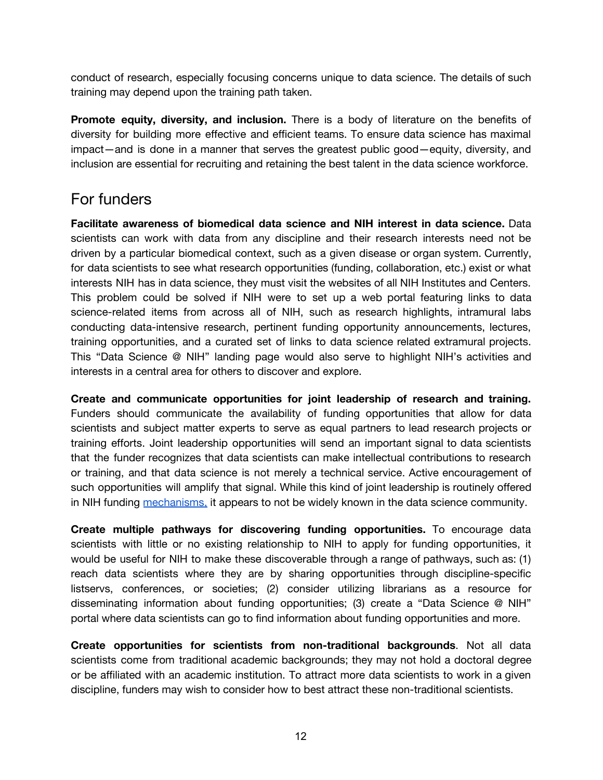conduct of research, especially focusing concerns unique to data science. The details of such training may depend upon the training path taken.

**Promote equity, diversity, and inclusion.** There is a body of literature on the benefits of diversity for building more effective and efficient teams. To ensure data science has maximal impact—and is done in a manner that serves the greatest public good—equity, diversity, and inclusion are essential for recruiting and retaining the best talent in the data science workforce.

## For funders

**Facilitate awareness of biomedical data science and NIH interest in data science.** Data scientists can work with data from any discipline and their research interests need not be driven by a particular biomedical context, such as a given disease or organ system. Currently, for data scientists to see what research opportunities (funding, collaboration, etc.) exist or what interests NIH has in data science, they must visit the websites of all NIH Institutes and Centers. This problem could be solved if NIH were to set up a web portal featuring links to data science-related items from across all of NIH, such as research highlights, intramural labs conducting data-intensive research, pertinent funding opportunity announcements, lectures, training opportunities, and a curated set of links to data science related extramural projects. This "Data Science @ NIH" landing page would also serve to highlight NIH's activities and interests in a central area for others to discover and explore.

**Create and communicate opportunities for joint leadership of research and training.** Funders should communicate the availability of funding opportunities that allow for data scientists and subject matter experts to serve as equal partners to lead research projects or training efforts. Joint leadership opportunities will send an important signal to data scientists that the funder recognizes that data scientists can make intellectual contributions to research or training, and that data science is not merely a technical service. Active encouragement of such opportunities will amplify that signal. While this kind of joint leadership is routinely offered in NIH funding [mechanisms,](https://grants.nih.gov/grants/multi_pi/overview.htm) it appears to not be widely known in the data science community.

**Create multiple pathways for discovering funding opportunities.** To encourage data scientists with little or no existing relationship to NIH to apply for funding opportunities, it would be useful for NIH to make these discoverable through a range of pathways, such as: (1) reach data scientists where they are by sharing opportunities through discipline-specific listservs, conferences, or societies; (2) consider utilizing librarians as a resource for disseminating information about funding opportunities; (3) create a "Data Science @ NIH" portal where data scientists can go to find information about funding opportunities and more.

**Create opportunities for scientists from non-traditional backgrounds**. Not all data scientists come from traditional academic backgrounds; they may not hold a doctoral degree or be affiliated with an academic institution. To attract more data scientists to work in a given discipline, funders may wish to consider how to best attract these non-traditional scientists.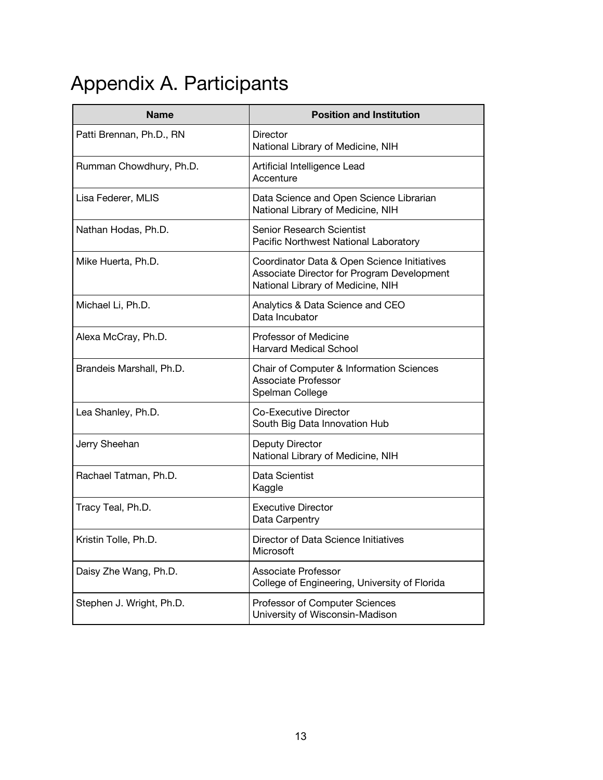# Appendix A. Participants

| <b>Name</b>              | <b>Position and Institution</b>                                                                                                |
|--------------------------|--------------------------------------------------------------------------------------------------------------------------------|
| Patti Brennan, Ph.D., RN | <b>Director</b><br>National Library of Medicine, NIH                                                                           |
| Rumman Chowdhury, Ph.D.  | Artificial Intelligence Lead<br>Accenture                                                                                      |
| Lisa Federer, MLIS       | Data Science and Open Science Librarian<br>National Library of Medicine, NIH                                                   |
| Nathan Hodas, Ph.D.      | <b>Senior Research Scientist</b><br>Pacific Northwest National Laboratory                                                      |
| Mike Huerta, Ph.D.       | Coordinator Data & Open Science Initiatives<br>Associate Director for Program Development<br>National Library of Medicine, NIH |
| Michael Li, Ph.D.        | Analytics & Data Science and CEO<br>Data Incubator                                                                             |
| Alexa McCray, Ph.D.      | Professor of Medicine<br><b>Harvard Medical School</b>                                                                         |
| Brandeis Marshall, Ph.D. | Chair of Computer & Information Sciences<br><b>Associate Professor</b><br>Spelman College                                      |
| Lea Shanley, Ph.D.       | Co-Executive Director<br>South Big Data Innovation Hub                                                                         |
| Jerry Sheehan            | <b>Deputy Director</b><br>National Library of Medicine, NIH                                                                    |
| Rachael Tatman, Ph.D.    | Data Scientist<br>Kaggle                                                                                                       |
| Tracy Teal, Ph.D.        | <b>Executive Director</b><br>Data Carpentry                                                                                    |
| Kristin Tolle, Ph.D.     | Director of Data Science Initiatives<br>Microsoft                                                                              |
| Daisy Zhe Wang, Ph.D.    | <b>Associate Professor</b><br>College of Engineering, University of Florida                                                    |
| Stephen J. Wright, Ph.D. | Professor of Computer Sciences<br>University of Wisconsin-Madison                                                              |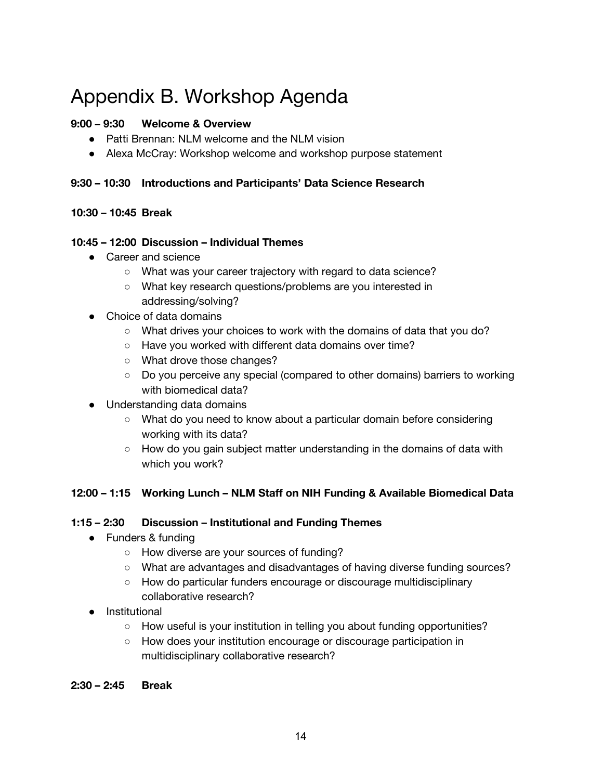# Appendix B. Workshop Agenda

### **9:00 – 9:30 Welcome & Overview**

- Patti Brennan: NLM welcome and the NLM vision
- Alexa McCray: Workshop welcome and workshop purpose statement

### **9:30 – 10:30 Introductions and Participants' Data Science Research**

### **10:30 – 10:45 Break**

### **10:45 – 12:00 Discussion – Individual Themes**

- Career and science
	- What was your career trajectory with regard to data science?
	- What key research questions/problems are you interested in addressing/solving?
- Choice of data domains
	- What drives your choices to work with the domains of data that you do?
	- Have you worked with different data domains over time?
	- What drove those changes?
	- Do you perceive any special (compared to other domains) barriers to working with biomedical data?
- Understanding data domains
	- What do you need to know about a particular domain before considering working with its data?
	- How do you gain subject matter understanding in the domains of data with which you work?

### **12:00 – 1:15 Working Lunch – NLM Staff on NIH Funding & Available Biomedical Data**

#### **1:15 – 2:30 Discussion – Institutional and Funding Themes**

- Funders & funding
	- How diverse are your sources of funding?
	- What are advantages and disadvantages of having diverse funding sources?
	- How do particular funders encourage or discourage multidisciplinary collaborative research?
- Institutional
	- $\circ$  How useful is your institution in telling you about funding opportunities?
	- How does your institution encourage or discourage participation in multidisciplinary collaborative research?
- **2:30 2:45 Break**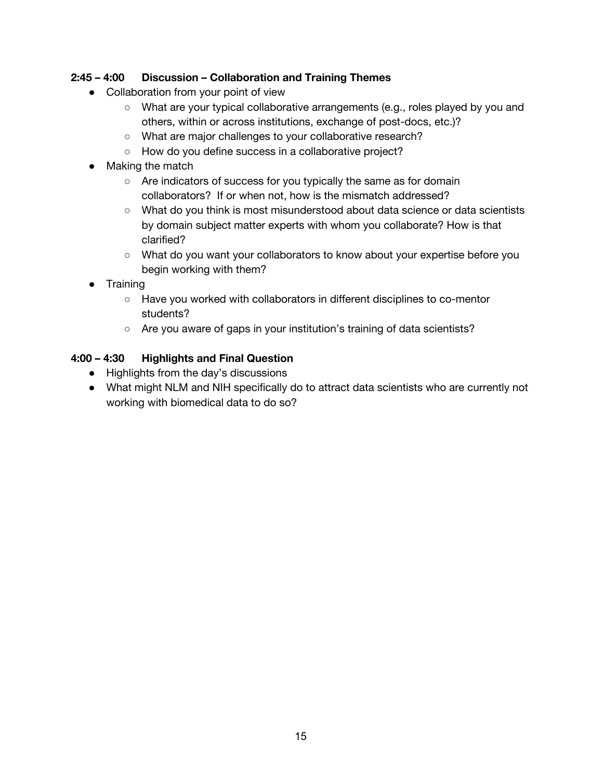### **2:45 – 4:00 Discussion – Collaboration and Training Themes**

- Collaboration from your point of view
	- What are your typical collaborative arrangements (e.g., roles played by you and others, within or across institutions, exchange of post-docs, etc.)?
	- What are major challenges to your collaborative research?
	- How do you define success in a collaborative project?
- Making the match
	- Are indicators of success for you typically the same as for domain collaborators? If or when not, how is the mismatch addressed?
	- What do you think is most misunderstood about data science or data scientists by domain subject matter experts with whom you collaborate? How is that clarified?
	- What do you want your collaborators to know about your expertise before you begin working with them?
- Training
	- Have you worked with collaborators in different disciplines to co-mentor students?
	- Are you aware of gaps in your institution's training of data scientists?

### **4:00 – 4:30 Highlights and Final Question**

- Highlights from the day's discussions
- What might NLM and NIH specifically do to attract data scientists who are currently not working with biomedical data to do so?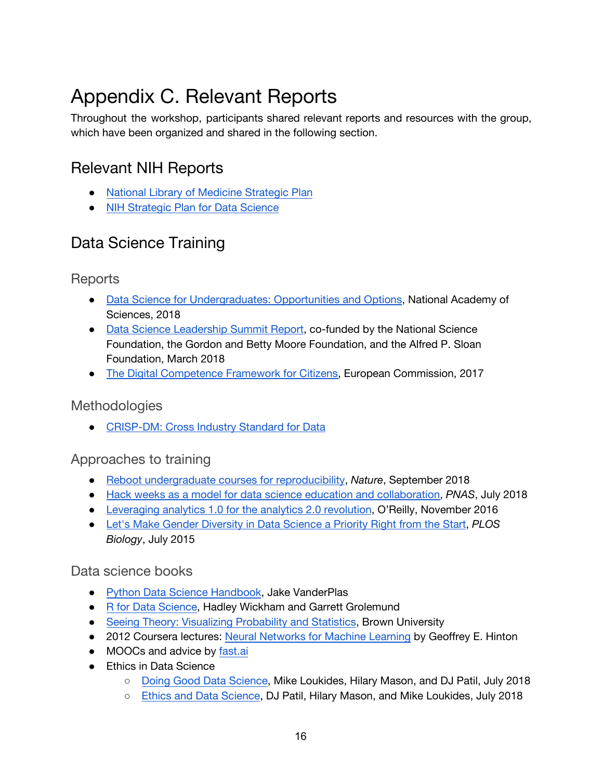# Appendix C. Relevant Reports

Throughout the workshop, participants shared relevant reports and resources with the group, which have been organized and shared in the following section.

## Relevant NIH Reports

- [National Library of Medicine Strategic Plan](https://www.nlm.nih.gov/pubs/plan/lrp17/NLM_StrategicReport2017_2027.html)
- [NIH Strategic Plan for Data Science](https://grants.nih.gov/grants/rfi/NIH-Strategic-Plan-for-Data-Science.pdf)

## Data Science Training

**Reports** 

- [Data Science for Undergraduates: Opportunities and Options](https://www.nap.edu/catalog/25104/data-science-for-undergraduates-opportunities-and-options), National Academy of Sciences, 2018
- [Data Science Leadership Summit Report](https://docs.google.com/document/d/1coJhgjoySFb78nZkKuAHnxpXIDWDErAMWuN-EzevJec/edit), co-funded by the National Science Foundation, the Gordon and Betty Moore Foundation, and the Alfred P. Sloan Foundation, March 2018
- [The Digital Competence Framework for Citizens,](https://ec.europa.eu/jrc/en/publication/eur-scientific-and-technical-research-reports/digcomp-21-digital-competence-framework-citizens-eight-proficiency-levels-and-examples-use) European Commission, 2017

### **Methodologies**

● [CRISP-DM: Cross Industry Standard for Data](https://www.datasciencecentral.com/profiles/blogs/crisp-dm-a-standard-methodology-to-ensure-a-good-outcome)

### Approaches to training

- [Reboot undergraduate courses for reproducibility](https://www.nature.com/articles/d41586-018-06692-8), *Nature*, September 2018
- [Hack weeks as a model for data science education and collaboration,](http://www.pnas.org/content/early/2018/08/17/1717196115) *PNAS*, July 2018
- [Leveraging analytics 1.0 for the analytics 2.0 revolution](https://www.oreilly.com/ideas/leveraging-analytics-1-0-for-the-analytics-2-0-revolution), O'Reilly, November 2016
- [Let's Make Gender Diversity in Data Science a Priority Right from the Start](https://journals.plos.org/plosbiology/article?id=10.1371/journal.pbio.1002206), *PLOS Biology*, July 2015

### Data science books

- [Python Data Science Handbook](https://jakevdp.github.io/PythonDataScienceHandbook/), Jake VanderPlas
- [R for Data Science](http://r4ds.had.co.nz/), Hadley Wickham and Garrett Grolemund
- [Seeing Theory: Visualizing Probability and Statistics,](https://students.brown.edu/seeing-theory/index.html) Brown University
- 2012 Coursera lectures: [Neural Networks for Machine Learning](https://www.cs.toronto.edu/~hinton/coursera_lectures.html) by Geoffrey E. Hinton
- MOOCs and advice by [fast.ai](https://www.fast.ai/)
- Ethics in Data Science
	- [Doing Good Data Science,](https://www.oreilly.com/ideas/doing-good-data-science) Mike Loukides, Hilary Mason, and DJ Patil, July 2018
	- [Ethics and Data Science](https://www.oreilly.com/library/view/ethics-and-data/9781492043898/), DJ Patil, Hilary Mason, and Mike Loukides, July 2018